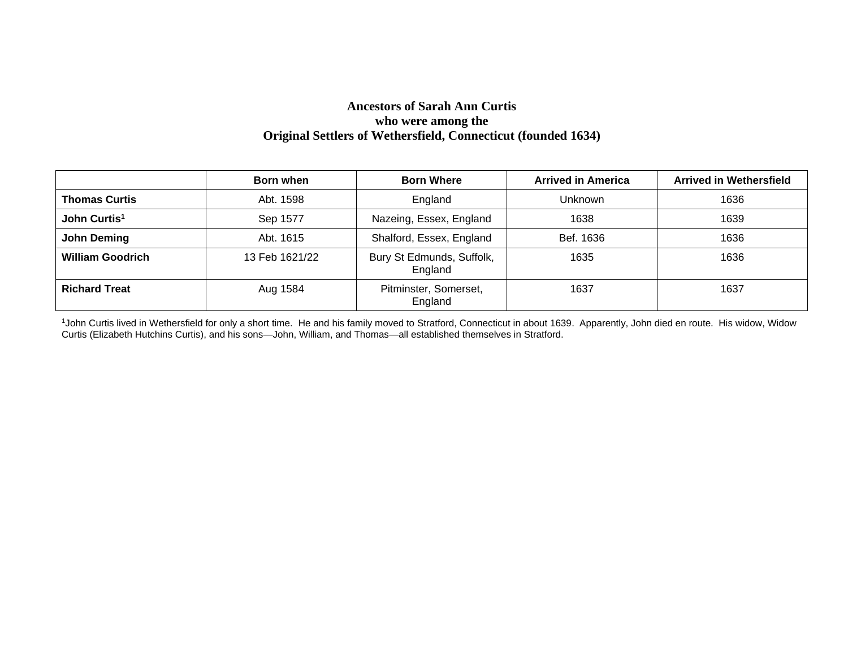#### **Ancestors of Sarah Ann Curtis who were among the Original Settlers of Wethersfield, Connecticut (founded 1634)**

|                          | Born when      | <b>Born Where</b>                    | <b>Arrived in America</b> | <b>Arrived in Wethersfield</b> |
|--------------------------|----------------|--------------------------------------|---------------------------|--------------------------------|
| <b>Thomas Curtis</b>     | Abt. 1598      | England                              | <b>Unknown</b>            | 1636                           |
| John Curtis <sup>1</sup> | Sep 1577       | Nazeing, Essex, England              | 1638                      | 1639                           |
| John Deming              | Abt. 1615      | Shalford, Essex, England             | Bef. 1636                 | 1636                           |
| <b>William Goodrich</b>  | 13 Feb 1621/22 | Bury St Edmunds, Suffolk,<br>England | 1635                      | 1636                           |
| <b>Richard Treat</b>     | Aug 1584       | Pitminster, Somerset,<br>England     | 1637                      | 1637                           |

<sup>1</sup>John Curtis lived in Wethersfield for only a short time. He and his family moved to Stratford, Connecticut in about 1639. Apparently, John died en route. His widow, Widow Curtis (Elizabeth Hutchins Curtis), and his sons—John, William, and Thomas—all established themselves in Stratford.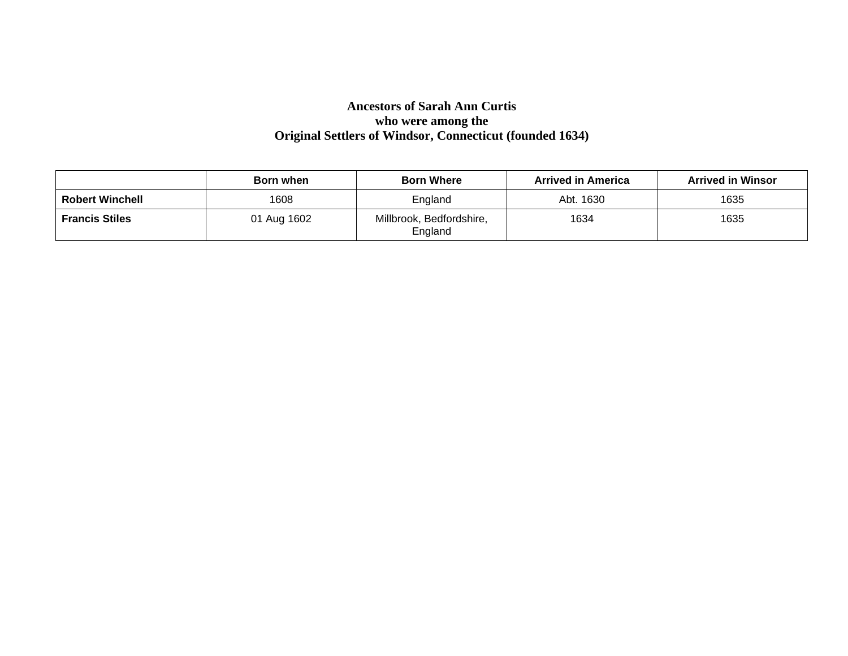# **Ancestors of Sarah Ann Curtis who were among the Original Settlers of Windsor, Connecticut (founded 1634)**

|                        | Born when   | <b>Born Where</b>                   | <b>Arrived in America</b> | <b>Arrived in Winsor</b> |
|------------------------|-------------|-------------------------------------|---------------------------|--------------------------|
| <b>Robert Winchell</b> | 1608        | England                             | Abt. 1630                 | 1635                     |
| <b>Francis Stiles</b>  | 01 Aug 1602 | Millbrook, Bedfordshire,<br>England | 1634                      | 1635                     |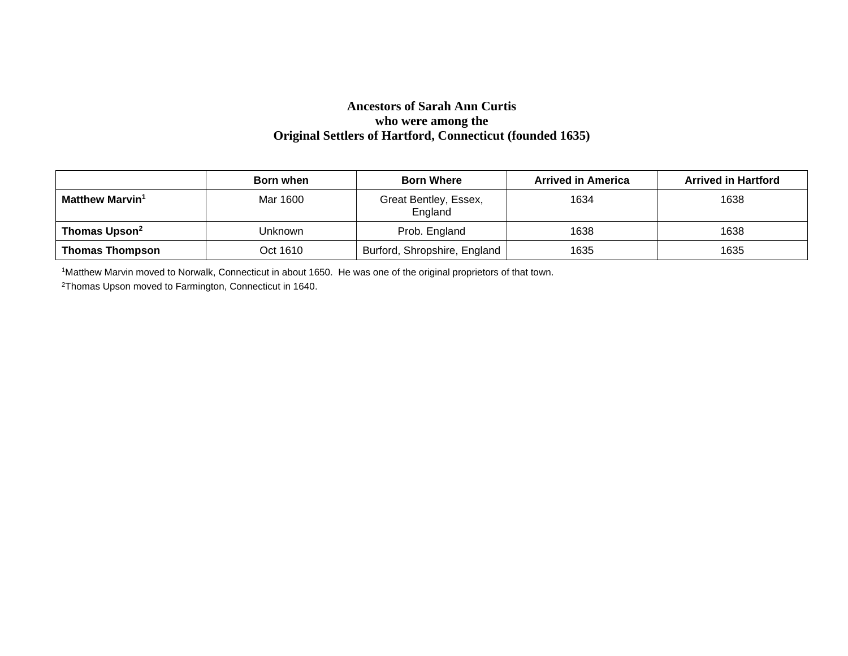#### **Ancestors of Sarah Ann Curtis who were among the Original Settlers of Hartford, Connecticut (founded 1635)**

|                             | Born when | <b>Born Where</b>                | <b>Arrived in America</b> | <b>Arrived in Hartford</b> |
|-----------------------------|-----------|----------------------------------|---------------------------|----------------------------|
| Matthew Marvin <sup>1</sup> | Mar 1600  | Great Bentley, Essex,<br>England | 1634                      | 1638                       |
| Thomas Upson <sup>2</sup>   | Unknown   | Prob. England                    | 1638                      | 1638                       |
| <b>Thomas Thompson</b>      | Oct 1610  | Burford, Shropshire, England     | 1635                      | 1635                       |

1Matthew Marvin moved to Norwalk, Connecticut in about 1650. He was one of the original proprietors of that town.

2Thomas Upson moved to Farmington, Connecticut in 1640.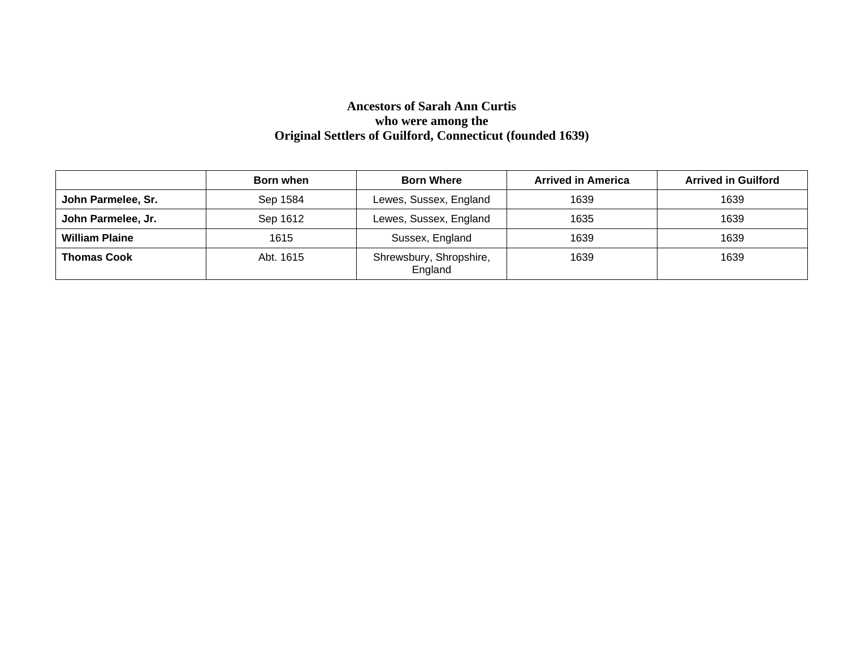# **Ancestors of Sarah Ann Curtis who were among the Original Settlers of Guilford, Connecticut (founded 1639)**

|                       | <b>Born when</b> | <b>Born Where</b>                  | <b>Arrived in America</b> | <b>Arrived in Guilford</b> |
|-----------------------|------------------|------------------------------------|---------------------------|----------------------------|
| John Parmelee, Sr.    | Sep 1584         | Lewes, Sussex, England             | 1639                      | 1639                       |
| John Parmelee, Jr.    | Sep 1612         | Lewes, Sussex, England             | 1635                      | 1639                       |
| <b>William Plaine</b> | 1615             | Sussex, England                    | 1639                      | 1639                       |
| <b>Thomas Cook</b>    | Abt. 1615        | Shrewsbury, Shropshire,<br>England | 1639                      | 1639                       |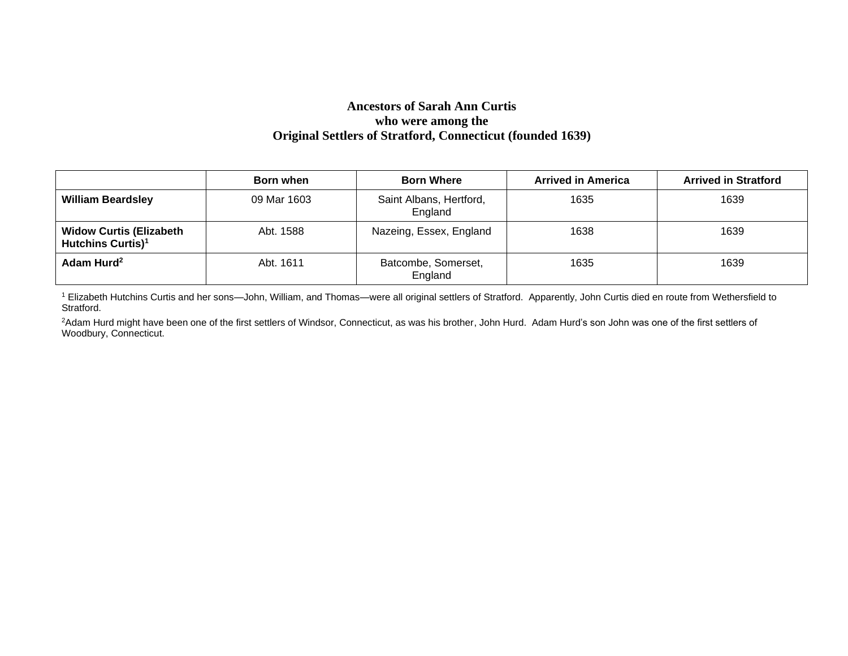#### **Ancestors of Sarah Ann Curtis who were among the Original Settlers of Stratford, Connecticut (founded 1639)**

|                                                                 | Born when   | <b>Born Where</b>                  | <b>Arrived in America</b> | <b>Arrived in Stratford</b> |
|-----------------------------------------------------------------|-------------|------------------------------------|---------------------------|-----------------------------|
| <b>William Beardsley</b>                                        | 09 Mar 1603 | Saint Albans, Hertford,<br>England | 1635                      | 1639                        |
| <b>Widow Curtis (Elizabeth</b><br>Hutchins Curtis) <sup>1</sup> | Abt. 1588   | Nazeing, Essex, England            | 1638                      | 1639                        |
| Adam Hurd <sup>2</sup>                                          | Abt. 1611   | Batcombe, Somerset,<br>England     | 1635                      | 1639                        |

<sup>1</sup> Elizabeth Hutchins Curtis and her sons-John, William, and Thomas-were all original settlers of Stratford. Apparently, John Curtis died en route from Wethersfield to Stratford.

<sup>2</sup>Adam Hurd might have been one of the first settlers of Windsor, Connecticut, as was his brother, John Hurd. Adam Hurd's son John was one of the first settlers of Woodbury, Connecticut.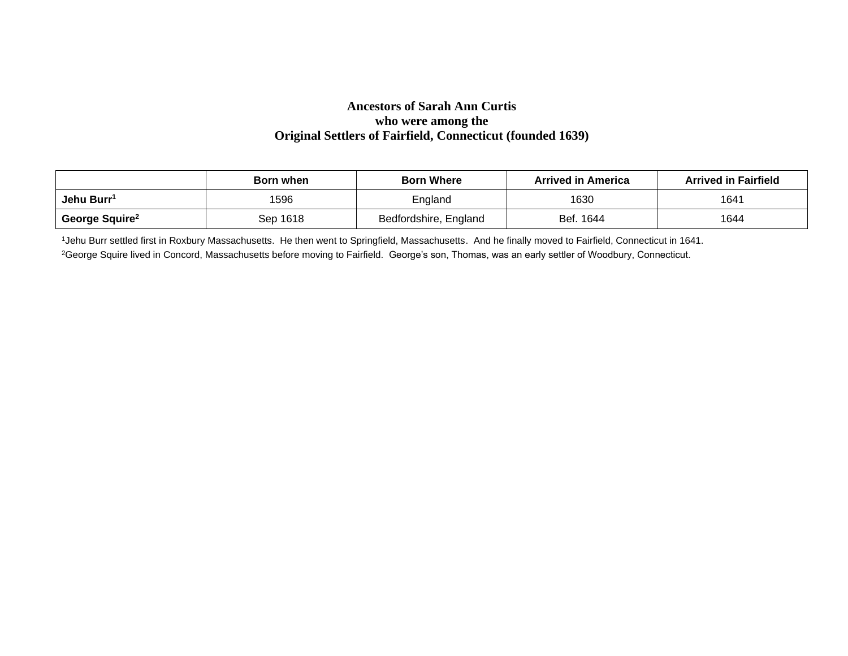#### **Ancestors of Sarah Ann Curtis who were among the Original Settlers of Fairfield, Connecticut (founded 1639)**

|                            | Born when | <b>Born Where</b>     | <b>Arrived in America</b> | <b>Arrived in Fairfield</b> |
|----------------------------|-----------|-----------------------|---------------------------|-----------------------------|
| Jehu Burr <sup>1</sup>     | 1596      | England               | 1630                      | 1641                        |
| George Squire <sup>2</sup> | Sep 1618  | Bedfordshire, England | Bef. 1644                 | 1644                        |

1Jehu Burr settled first in Roxbury Massachusetts. He then went to Springfield, Massachusetts. And he finally moved to Fairfield, Connecticut in 1641. <sup>2</sup>George Squire lived in Concord, Massachusetts before moving to Fairfield. George's son, Thomas, was an early settler of Woodbury, Connecticut.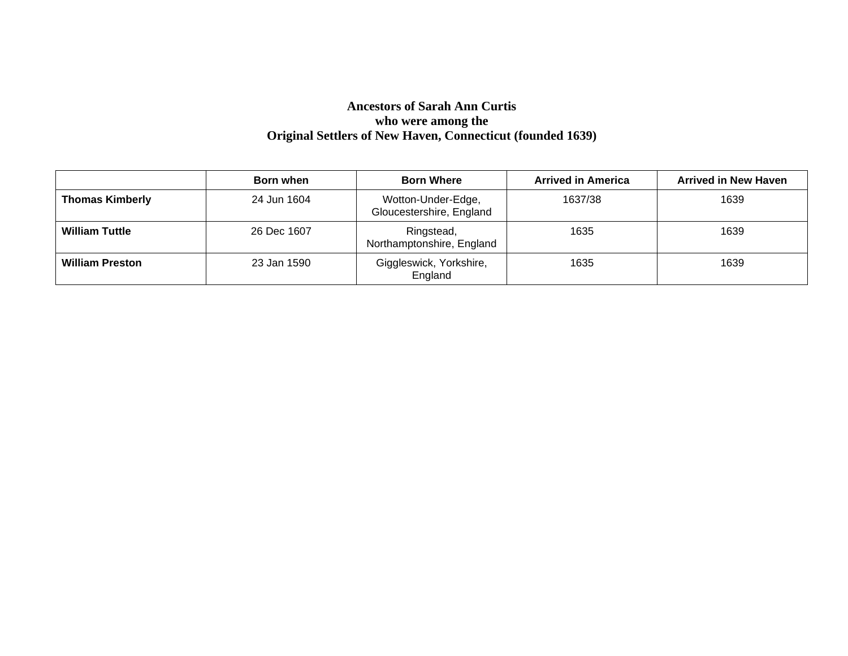# **Ancestors of Sarah Ann Curtis who were among the Original Settlers of New Haven, Connecticut (founded 1639)**

|                        | Born when   | <b>Born Where</b>                              | <b>Arrived in America</b> | <b>Arrived in New Haven</b> |
|------------------------|-------------|------------------------------------------------|---------------------------|-----------------------------|
| <b>Thomas Kimberly</b> | 24 Jun 1604 | Wotton-Under-Edge,<br>Gloucestershire, England | 1637/38                   | 1639                        |
| <b>William Tuttle</b>  | 26 Dec 1607 | Ringstead,<br>Northamptonshire, England        | 1635                      | 1639                        |
| <b>William Preston</b> | 23 Jan 1590 | Giggleswick, Yorkshire,<br>England             | 1635                      | 1639                        |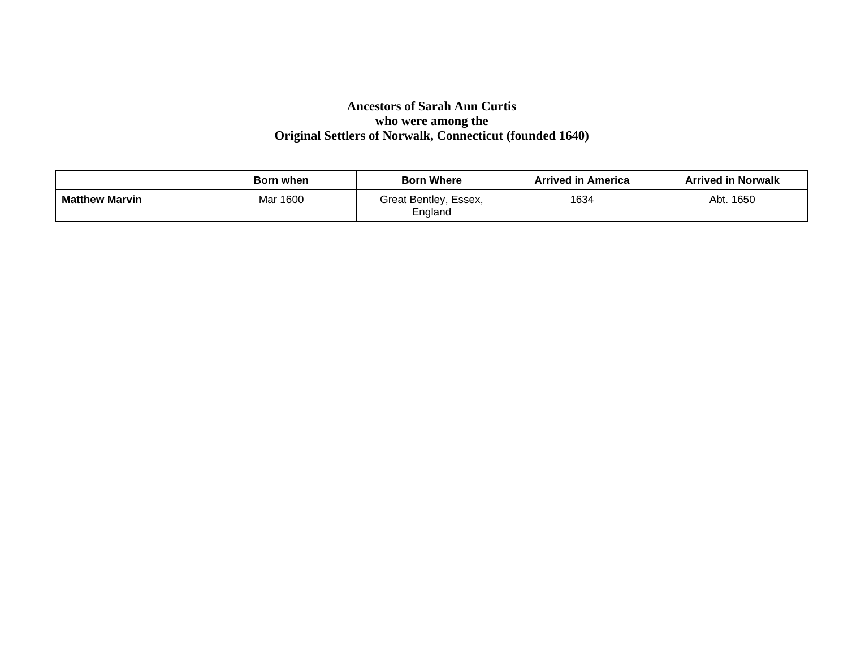# **Ancestors of Sarah Ann Curtis who were among the Original Settlers of Norwalk, Connecticut (founded 1640)**

|                       | Born when | <b>Born Where</b>                | <b>Arrived in America</b> | <b>Arrived in Norwalk</b> |
|-----------------------|-----------|----------------------------------|---------------------------|---------------------------|
| <b>Matthew Marvin</b> | Mar 1600  | Great Bentley, Essex,<br>England | 1634                      | Abt. 1650                 |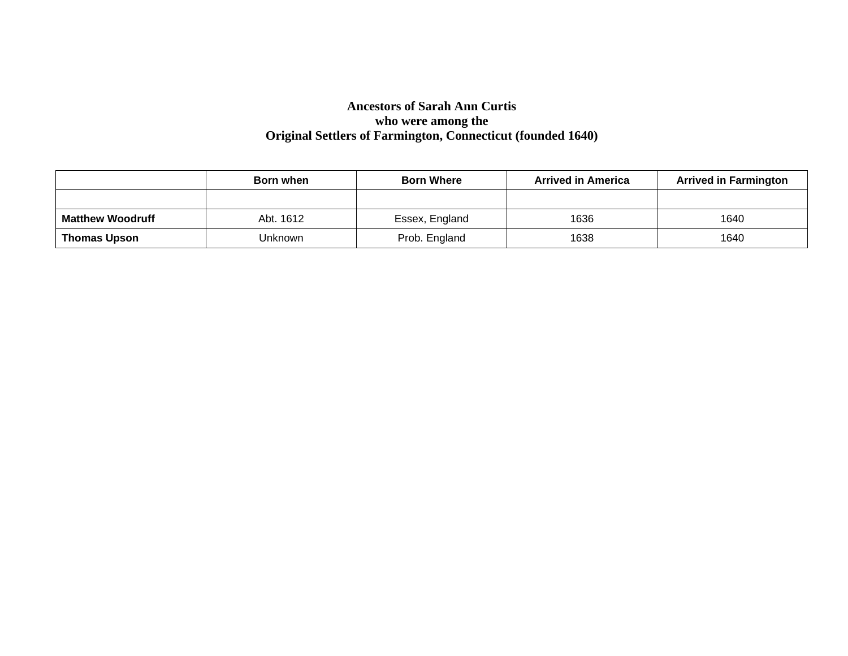# **Ancestors of Sarah Ann Curtis who were among the Original Settlers of Farmington, Connecticut (founded 1640)**

|                         | Born when | <b>Born Where</b> | <b>Arrived in America</b> | <b>Arrived in Farmington</b> |
|-------------------------|-----------|-------------------|---------------------------|------------------------------|
|                         |           |                   |                           |                              |
| <b>Matthew Woodruff</b> | Abt. 1612 | Essex, England    | 1636                      | 1640                         |
| <b>Thomas Upson</b>     | Unknown   | Prob. England     | 1638                      | 1640                         |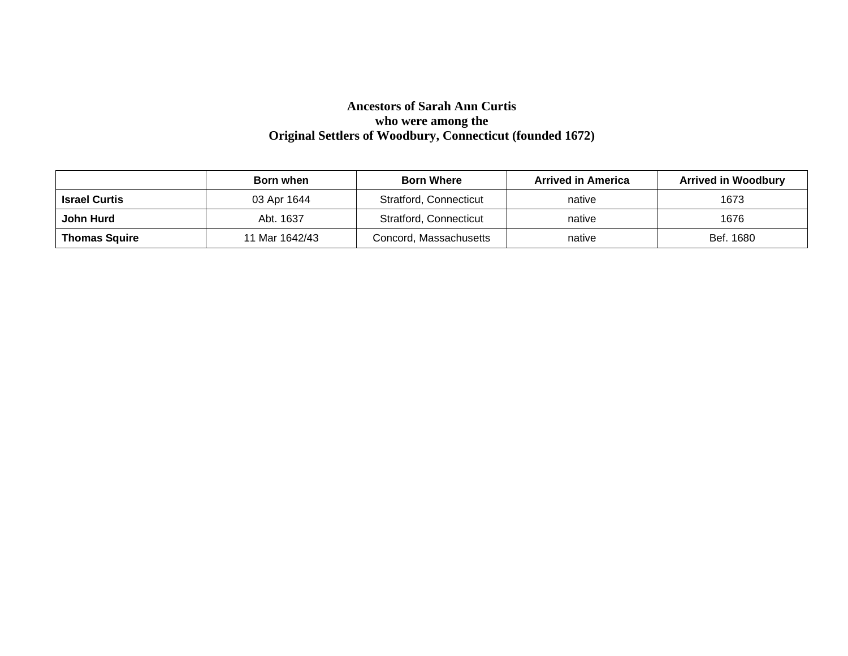# **Ancestors of Sarah Ann Curtis who were among the Original Settlers of Woodbury, Connecticut (founded 1672)**

|                      | Born when      | <b>Born Where</b>      | <b>Arrived in America</b> | <b>Arrived in Woodbury</b> |
|----------------------|----------------|------------------------|---------------------------|----------------------------|
| <b>Israel Curtis</b> | 03 Apr 1644    | Stratford, Connecticut | native                    | 1673                       |
| John Hurd            | Abt. 1637      | Stratford, Connecticut | native                    | 1676                       |
| <b>Thomas Squire</b> | 11 Mar 1642/43 | Concord, Massachusetts | native                    | Bef. 1680                  |